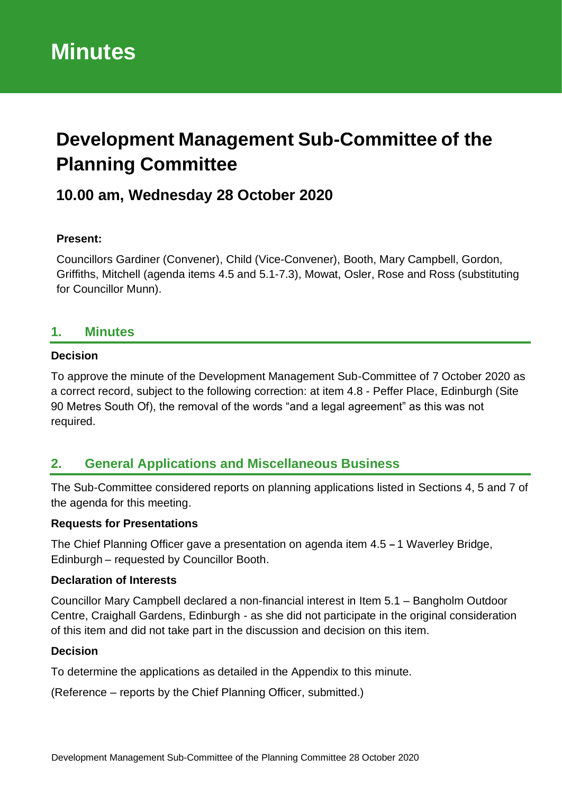# **Development Management Sub-Committee of the Planning Committee**

## **10.00 am, Wednesday 28 October 2020**

## **Present:**

Councillors Gardiner (Convener), Child (Vice-Convener), Booth, Mary Campbell, Gordon, Griffiths, Mitchell (agenda items 4.5 and 5.1-7.3), Mowat, Osler, Rose and Ross (substituting for Councillor Munn).

## **1. Minutes**

## **Decision**

To approve the minute of the Development Management Sub-Committee of 7 October 2020 as a correct record, subject to the following correction: at item 4.8 - Peffer Place, Edinburgh (Site 90 Metres South Of), the removal of the words "and a legal agreement" as this was not required.

## **2. General Applications and Miscellaneous Business**

The Sub-Committee considered reports on planning applications listed in Sections 4, 5 and 7 of the agenda for this meeting.

## **Requests for Presentations**

The Chief Planning Officer gave a presentation on agenda item 4.5 **–** 1 Waverley Bridge, Edinburgh – requested by Councillor Booth.

## **Declaration of Interests**

Councillor Mary Campbell declared a non-financial interest in Item 5.1 – Bangholm Outdoor Centre, Craighall Gardens, Edinburgh - as she did not participate in the original consideration of this item and did not take part in the discussion and decision on this item.

## **Decision**

To determine the applications as detailed in the Appendix to this minute.

(Reference – reports by the Chief Planning Officer, submitted.)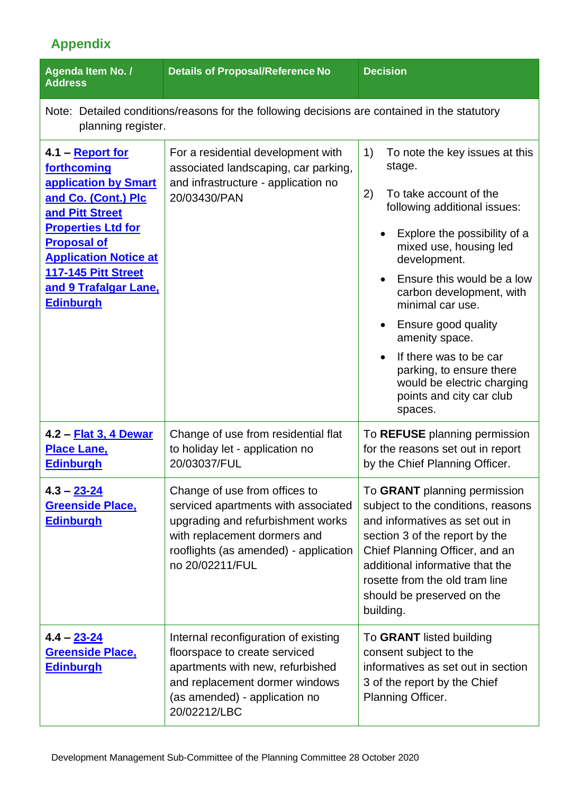# **Appendix**

| Agenda Item No. /<br><b>Address</b>                                                                                                                                                                                                                             | <b>Details of Proposal/Reference No</b>                                                                                                                                                               | <b>Decision</b>                                                                                                                                                                                                                                                                                                                                                                                                                            |  |
|-----------------------------------------------------------------------------------------------------------------------------------------------------------------------------------------------------------------------------------------------------------------|-------------------------------------------------------------------------------------------------------------------------------------------------------------------------------------------------------|--------------------------------------------------------------------------------------------------------------------------------------------------------------------------------------------------------------------------------------------------------------------------------------------------------------------------------------------------------------------------------------------------------------------------------------------|--|
| Note: Detailed conditions/reasons for the following decisions are contained in the statutory<br>planning register.                                                                                                                                              |                                                                                                                                                                                                       |                                                                                                                                                                                                                                                                                                                                                                                                                                            |  |
| 4.1 – Report for<br>forthcoming<br>application by Smart<br>and Co. (Cont.) Plc<br>and Pitt Street<br><b>Properties Ltd for</b><br><b>Proposal of</b><br><b>Application Notice at</b><br><b>117-145 Pitt Street</b><br>and 9 Trafalgar Lane,<br><b>Edinburgh</b> | For a residential development with<br>associated landscaping, car parking,<br>and infrastructure - application no<br>20/03430/PAN                                                                     | 1)<br>To note the key issues at this<br>stage.<br>2)<br>To take account of the<br>following additional issues:<br>Explore the possibility of a<br>mixed use, housing led<br>development.<br>Ensure this would be a low<br>carbon development, with<br>minimal car use.<br>Ensure good quality<br>amenity space.<br>If there was to be car<br>parking, to ensure there<br>would be electric charging<br>points and city car club<br>spaces. |  |
| 4.2 - Flat 3, 4 Dewar<br><b>Place Lane,</b><br><b>Edinburgh</b>                                                                                                                                                                                                 | Change of use from residential flat<br>to holiday let - application no<br>20/03037/FUL                                                                                                                | To REFUSE planning permission<br>for the reasons set out in report<br>by the Chief Planning Officer.                                                                                                                                                                                                                                                                                                                                       |  |
| $4.3 - 23 - 24$<br><b>Greenside Place,</b><br><b>Edinburgh</b>                                                                                                                                                                                                  | Change of use from offices to<br>serviced apartments with associated<br>upgrading and refurbishment works<br>with replacement dormers and<br>rooflights (as amended) - application<br>no 20/02211/FUL | To GRANT planning permission<br>subject to the conditions, reasons<br>and informatives as set out in<br>section 3 of the report by the<br>Chief Planning Officer, and an<br>additional informative that the<br>rosette from the old tram line<br>should be preserved on the<br>building.                                                                                                                                                   |  |
| 4.4 – <u>23-24</u><br><b>Greenside Place,</b><br><b>Edinburgh</b>                                                                                                                                                                                               | Internal reconfiguration of existing<br>floorspace to create serviced<br>apartments with new, refurbished<br>and replacement dormer windows<br>(as amended) - application no<br>20/02212/LBC          | To GRANT listed building<br>consent subject to the<br>informatives as set out in section<br>3 of the report by the Chief<br>Planning Officer.                                                                                                                                                                                                                                                                                              |  |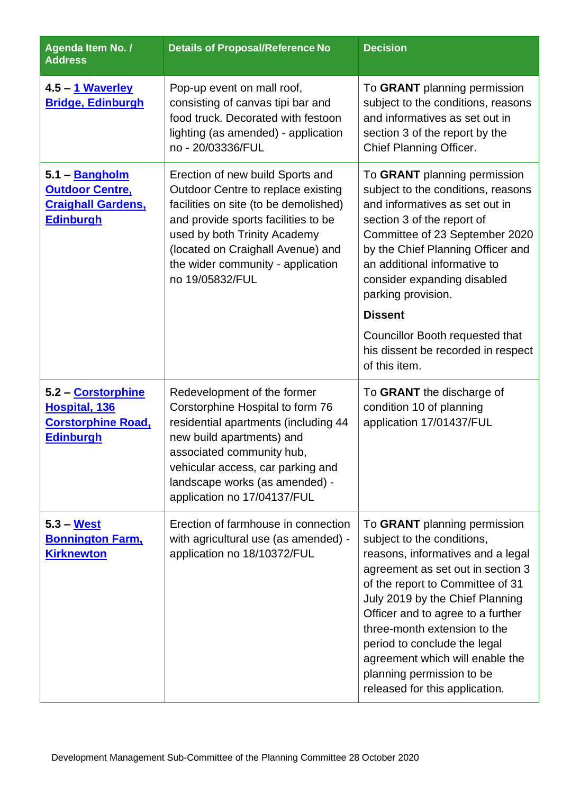| Agenda Item No. /<br><b>Address</b>                                                              | <b>Details of Proposal/Reference No</b>                                                                                                                                                                                                                                             | <b>Decision</b>                                                                                                                                                                                                                                                                                                                                                                                                    |
|--------------------------------------------------------------------------------------------------|-------------------------------------------------------------------------------------------------------------------------------------------------------------------------------------------------------------------------------------------------------------------------------------|--------------------------------------------------------------------------------------------------------------------------------------------------------------------------------------------------------------------------------------------------------------------------------------------------------------------------------------------------------------------------------------------------------------------|
| 4.5 – 1 Waverley<br><b>Bridge, Edinburgh</b>                                                     | Pop-up event on mall roof,<br>consisting of canvas tipi bar and<br>food truck. Decorated with festoon<br>lighting (as amended) - application<br>no - 20/03336/FUL                                                                                                                   | To GRANT planning permission<br>subject to the conditions, reasons<br>and informatives as set out in<br>section 3 of the report by the<br>Chief Planning Officer.                                                                                                                                                                                                                                                  |
| 5.1 – <b>Bangholm</b><br><b>Outdoor Centre,</b><br><b>Craighall Gardens,</b><br><u>Edinburgh</u> | Erection of new build Sports and<br>Outdoor Centre to replace existing<br>facilities on site (to be demolished)<br>and provide sports facilities to be<br>used by both Trinity Academy<br>(located on Craighall Avenue) and<br>the wider community - application<br>no 19/05832/FUL | To GRANT planning permission<br>subject to the conditions, reasons<br>and informatives as set out in<br>section 3 of the report of<br>Committee of 23 September 2020<br>by the Chief Planning Officer and<br>an additional informative to<br>consider expanding disabled<br>parking provision.                                                                                                                     |
|                                                                                                  |                                                                                                                                                                                                                                                                                     | <b>Dissent</b><br>Councillor Booth requested that<br>his dissent be recorded in respect<br>of this item.                                                                                                                                                                                                                                                                                                           |
| 5.2 – Corstorphine<br>Hospital, 136<br><b>Corstorphine Road,</b><br><b>Edinburgh</b>             | Redevelopment of the former<br>Corstorphine Hospital to form 76<br>residential apartments (including 44<br>new build apartments) and<br>associated community hub,<br>vehicular access, car parking and<br>landscape works (as amended) -<br>application no 17/04137/FUL             | To GRANT the discharge of<br>condition 10 of planning<br>application 17/01437/FUL                                                                                                                                                                                                                                                                                                                                  |
| $5.3 - West$<br><b>Bonnington Farm,</b><br><b>Kirknewton</b>                                     | Erection of farmhouse in connection<br>with agricultural use (as amended) -<br>application no 18/10372/FUL                                                                                                                                                                          | To GRANT planning permission<br>subject to the conditions,<br>reasons, informatives and a legal<br>agreement as set out in section 3<br>of the report to Committee of 31<br>July 2019 by the Chief Planning<br>Officer and to agree to a further<br>three-month extension to the<br>period to conclude the legal<br>agreement which will enable the<br>planning permission to be<br>released for this application. |